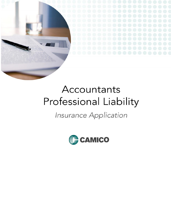

# Accountants Professional Liability

# Insurance Application

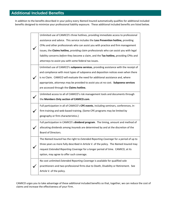In addition to the benefits described in your policy every *Named Insured* automatically qualifies for additional included benefits designed to minimize your professional liability exposure. These additional included benefits are listed below.

| Unlimited use of CAMICO's three hotlines, providing immediate access to professional    |
|-----------------------------------------------------------------------------------------|
| assistance and advice. This service includes the Loss Prevention hotline, providing     |
| CPAs and other professionals who can assist you with practice and firm management       |
| issues, the Claims hotline, providing claim professionals who can assist you with legal |
| liability concerns before they become a claim, and the Tax hotline, providing CPAs and  |
| attorneys to assist you with some federal tax issues.                                   |
| Unlimited use of CAMICO's subpoena services, providing assistance with the receipt of   |
| and compliance with most types of subpoena and deposition notices even when there       |
| is no Claim. CAMICO will evaluate the need for additional assistance and, where         |
| appropriate, attorneys may be provided to assist you at no cost. Subpoena services      |
| are accessed through the Claims hotline.                                                |
| Unlimited access to all of CAMICO's risk management tools and documents through         |
| the Members Only section of CAMICO.com.                                                 |
| Full participation in all of CAMICO's CPE events, including seminars, conferences, in-  |
| firm training and web-based training. (Some CPE programs may be limited by              |
| geography or firm characteristics.)                                                     |
| Full participation in CAMICO's dividend program. The timing, amount and method of       |
| allocating dividends among Insureds are determined by and at the discretion of the      |
| Board of Directors.                                                                     |
| The Named Insured has the right to Extended Reporting Coverage for a period of up to    |
| three years as more fully described in Article V. of the policy. The Named Insured may  |
| request Extended Reporting Coverage for a longer period of time. CAMICO, at its         |
| option, may agree to offer such coverage.                                               |
| No cost unlimited Extended Reporting Coverage is available for qualified sole           |
| practitioners and two-professional firms due to Death, Disability or Retirement. See    |
| Article V. of the policy.                                                               |
|                                                                                         |

CAMICO urges you to take advantage of these additional included benefits so that, together, we can reduce the cost of claims and increase the effectiveness of your Firm.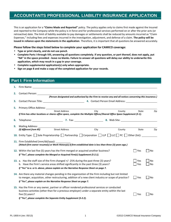#### **ACCOUNTANTS PROFESSIONAL LIABILITY INSURANCE APPLICATION**

This is an application for a **"Claims Made and Reported"** policy. The policy applies only to claims first made against the Insured and reported to the Company while the policy is in force and for professional services performed on or after the prior acts (or retroactive) date. The limit of liability available to pay damages or settlements shall be reduced by amounts incurred as "Claim Expenses," including fees and expenses incurred in the investigation, adjustment, and defense of a claim. **The policy will be issued in reliance upon the statements in the application**. Therefore, it is important that all questions be answered accurately.

**Please follow the steps listed below to complete your application for CAMICO coverage:**

- **Type or print clearly, and do not use pencil.**
- **Complete Parts I through VIII, answering all questions completely. If any question, or part thereof, does not apply, put "NA" in the space provided - leave no blanks. Failure to answer all questions will delay our ability to underwrite this application, which may result in a gap in your coverage.**
- **Complete supplemental application(s) only when appropriate.**
- **Sign on page 8 and make a copy of the completed application for your records.**

|  | <b>Part I: Firm Information</b> |  |
|--|---------------------------------|--|
|  |                                 |  |

| 1. |                                    | Firm Name: 1988 and 1988 and 1988 and 1988 and 1988 and 1988 and 1988 and 1988 and 1988 and 1988 and 1988 and 1988 and 1988 and 1988 and 1988 and 1988 and 1988 and 1988 and 1988 and 1988 and 1988 and 1988 and 1988 and 1988                                                      |      |        |                       |                        |
|----|------------------------------------|-------------------------------------------------------------------------------------------------------------------------------------------------------------------------------------------------------------------------------------------------------------------------------------|------|--------|-----------------------|------------------------|
| 2. |                                    | Contact Person: The Contact Person:                                                                                                                                                                                                                                                 |      |        |                       |                        |
|    |                                    | (Person designated and authorized by the Firm to receive any and all notices concerning this insurance.)                                                                                                                                                                            |      |        |                       |                        |
| З. |                                    | Contact Person Title: 1990 1990 1991 1991 1991 1991 1992 1994. Contact Person Email Address: 1992 1994 1999 19                                                                                                                                                                      |      |        |                       |                        |
| 5. |                                    |                                                                                                                                                                                                                                                                                     |      |        |                       |                        |
|    |                                    | <b>Street Address</b><br>If Firm has other locations or shares office space, complete the Multiple Offices/Shared Office Space Supplement (S-1).                                                                                                                                    | City | County | State                 | Zip                    |
| 6. |                                    |                                                                                                                                                                                                                                                                                     |      |        |                       |                        |
| 9. | Mailing Address:                   |                                                                                                                                                                                                                                                                                     |      |        |                       |                        |
|    | (If different from #5)             | <b>Street Address</b>                                                                                                                                                                                                                                                               | City | County | State                 | Zip                    |
|    | 11. Firm Established (mm/dd/yyyy): | (Attach firm owner resume(s) or Work History(s) if firm established date is less than three (3) years ago.)<br>12. Within the last five (5) years has the Firm merged or acquired another business?<br>If "Yes", please complete the Merged or Acquired Firm(s) Supplement (S-2.1). |      |        | Yes<br>$\blacksquare$ | No                     |
|    |                                    | 13. a. Has the staff size of the Firm changed +/- 25% during the past three (3) years?<br>b. Have the Firm's service areas shifted significantly in the past three (3) years?<br>If "Yes" to a. or b. above, please explain on the Narrative Response Sheet on page 7.              |      |        | Yes<br>Yes            | <b>No</b><br><b>No</b> |
|    |                                    | 14. Are there any material changes pending in the organization of the Firm including but not limited<br>to merger, acquisition, other restructuring, addition of a new client industry or scope of practice?<br>If "Yes", please explain on the Narrative Response Sheet on page 7. |      |        | Yes<br>$\mathbf{I}$   | <b>No</b>              |
|    | five (5) years?                    | 15. Has the Firm or any owner, partner or officer rendered professional services or conducted<br>business activities (other than for a previous employer) under a separate entity within the last<br>If "Yes", please complete the Separate Entity Supplement (S-2.2).              |      |        | Yes                   | <b>No</b>              |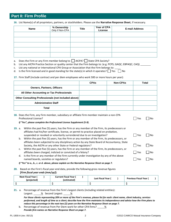#### **Part II: Firm Profile**

**16.** List Name(s) of all proprietors, partners, or stockholders. Please use the **Narrative Response Sheet**, if necessary.

| Name | % Ownership<br>Only if Non-CPA | <b>Title</b> | Year of CPA<br>License | <b>E-mail Address</b> |
|------|--------------------------------|--------------|------------------------|-----------------------|
|      |                                |              |                        |                       |
|      |                                |              |                        |                       |
|      |                                |              |                        |                       |
|      |                                |              |                        |                       |
|      |                                |              |                        |                       |

- a. Does the Firm or any Firm member belong to:  $\Box$  AICPA?  $\Box$  State CPA Society?
- b. List any AICPA Practice Section or quality center that the Firm belongs to: (e.g. PCPS; GAQC; EBPAQC; CAQ)
- c. List any national or international CPA Group or Association that the Firm belongs to:
- d. Is the Firm licensed and in good standing for the state(s) in which it operates?  $\Box$  Yes  $\Box$  No
- **17.** Firm Staff (include contract and per diem employees who work 500 or more hours per year):

|                                                            | <b>CPAs</b> | <b>Non-CPAs</b> | Total |
|------------------------------------------------------------|-------------|-----------------|-------|
| <b>Owners, Partners, Officers</b>                          |             |                 |       |
| All Other Accounting or Tax Professionals                  |             |                 |       |
| <b>Other Consulting Professionals (not included above)</b> |             |                 |       |
| <b>Administrative Staff</b>                                |             |                 |       |
| Total                                                      |             |                 |       |

|        |    | 18. Does the Firm, any Firm member, subsidiary or affiliate Firm member maintain a non-CPA<br>Professional License?<br>If "Yes", please complete the Professional License Supplement (S-9).                                                                        | Yes | No   |
|--------|----|--------------------------------------------------------------------------------------------------------------------------------------------------------------------------------------------------------------------------------------------------------------------|-----|------|
| 19. a. |    | Within the past five (5) years, has the Firm or any member of the Firm, its predecessors or<br>affiliates had his/her certificate, license, or permit to practice placed on probation,<br>suspended or revoked or voluntarily surrendered due to an investigation? | Yes | l No |
|        | b. | Within the past five (5) years, has the Firm or any member of the Firm, its predecessors, or<br>affiliates been subjected to any disciplinary action by any State Board of Accountancy, State                                                                      |     |      |
|        | C. | Society, the AICPA or any other State or Federal regulators?<br>Within the past five (5) years, has the Firm or any member of the Firm, its predecessors, or                                                                                                       | Yes | l No |
|        |    | affiliates been charged, indicted or convicted of a felony?                                                                                                                                                                                                        | Yes | l No |
|        | d. | Is the Firm or any member of the Firm currently under investigation by any of the above<br>named boards, societies or regulators?                                                                                                                                  | Yes | No   |
|        |    |                                                                                                                                                                                                                                                                    |     |      |

*If "Yes" to a., b., c. or d. above, please explain on the Narrative Response Sheet on page 7.*

**20.** Based on the Firm's fiscal year-end data, provide the following gross revenue figures **[***Firm fiscal year ends (mm/yy)***]:**

| Next Fiscal Year (<br>(projected) | <b>Current Fiscal Year (</b><br>(estimated) | Last Fiscal Year ( | <b>Previous Fiscal Year (</b> |
|-----------------------------------|---------------------------------------------|--------------------|-------------------------------|
|                                   |                                             |                    |                               |

**21.** a. Percentage of revenue from the Firm's largest clients (including related entities):

Largest: 38 Second Largest: 38

*For those clients representing 20% or more of the Firm's revenue, please list for each: client name, client industry, services performed, and length of time as a client; describe how the Firm maintains its independence and advise how the Firm plans to reduce this percentage in the next two (2) years on the Narrative Response Sheet on page 7.*

b. Percentage of revenue from Per Diem work for other CPA firms?  $\frac{1}{2}$ *Provide firm names on Narrative Response Sheet on page 7.*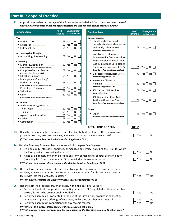### **Part III: Scope of Practice**

**22.** Approximately what percentage of the Firm's revenue is derived from the areas listed below? *Please indicate whether or not engagement letters are used for each service area listed below.*

| <b>Service Area</b>                                                                                                                                                                                                                                                                                                                                                           | $%$ of<br><b>Revenue</b>                                        | <b>Engagement</b><br><b>Letter Used</b>                                                                                                           | <b>Service Area</b>                                                                                                                                                                                                                                                                                                                                               | $%$ of<br><b>Revenue</b>     | <b>Engagement</b><br><b>Letter Used</b>                                                              |
|-------------------------------------------------------------------------------------------------------------------------------------------------------------------------------------------------------------------------------------------------------------------------------------------------------------------------------------------------------------------------------|-----------------------------------------------------------------|---------------------------------------------------------------------------------------------------------------------------------------------------|-------------------------------------------------------------------------------------------------------------------------------------------------------------------------------------------------------------------------------------------------------------------------------------------------------------------------------------------------------------------|------------------------------|------------------------------------------------------------------------------------------------------|
| Tax<br>• Business Tax<br>• Estate Tax<br>• Individual Tax                                                                                                                                                                                                                                                                                                                     | %<br>$\frac{9}{6}$<br>$\%$                                      | Yes<br>$\overline{\phantom{a}}$ No<br>Yes $\Box$<br>No<br>Yes $\Box$ No $\Box$                                                                    | <b>Special Services</b><br>• Client Funds Controlled<br>(Including Business Management)<br>and Family Office Services).<br>(Complete Supplement S-3.2)                                                                                                                                                                                                            | %                            | Yes $\Box$ No $\Box$                                                                                 |
| <b>Accounting/Bookkeeping</b><br>• Accounting/Bookkeeping                                                                                                                                                                                                                                                                                                                     | %                                                               | Yes $\Box$ No $\Box$                                                                                                                              | Non-Trustee Fiduciary or<br>Administrative Responsibility-                                                                                                                                                                                                                                                                                                        |                              |                                                                                                      |
| <b>Consulting</b><br>• Merger & Acquisition<br>(Describe on Narrative Response Sheet)<br>• Computer-Related Services<br>(Complete Supplement S-3.4)<br>• Litigation Support<br>• Management Consulting/<br><b>Business Planning</b><br>(Describe on Narrative Response Sheet)<br>• Projections/Forecasts<br>• Valuations<br>• Other<br>(Describe on Narrative Response Sheet) | %<br>%<br>$\frac{\%}{\%}$<br>$\frac{9}{6}$<br>%<br>$\%$<br>$\%$ | Yes $\Box$ No $\Box$<br>Yes $\Box$ No $\Box$<br>Yes $\Box$ No $\Box$<br>Yes $\Box$ No $\Box$<br>Yes [<br>No.<br>$Yes \tN$<br>Yes $\Box$ No $\Box$ | ERISA, Pension & Benefit Plans,<br>ESOPs, Insurance Co.'s, Hedge<br>Funds, other Investment Co.'s<br>(Describe on Narrative Response Sheet)<br>Executor/Trustee/Receiver<br>(Complete Supplement S-4)<br>Investment/Financial<br>Planning<br>(Complete Supplement S-5)<br><b>SEC-Section 404 Services</b><br>(Attach Client List)<br>• SEC Work other than Audit, | %<br>$\frac{9}{6}$<br>%<br>% | $Yes \nightharpoonup No$<br>Yes $\Box$ No $\Box$<br>Yes $\Box$ No $\Box$<br>$Yes \nightharpoonup No$ |
| <b>Attestation</b><br>• Audit (Complete Supplement S-3.1)                                                                                                                                                                                                                                                                                                                     |                                                                 |                                                                                                                                                   | Section 404 Work or Tax<br>(Describe on Narrative Response Sheet)                                                                                                                                                                                                                                                                                                 | %                            | Yes $\Box$ No $\Box$                                                                                 |
| - Non Public<br>- Public<br>• Agreed Upon Procedures<br>• Review<br>• Compilation                                                                                                                                                                                                                                                                                             | %<br>$\%$<br>$\%$<br>$\%$<br>$\%$                               | Yes<br>$\overline{\phantom{a}}$ No<br>Yes $\Box$<br>No<br>Yes    <br>No<br>$Yes$ $\Box$<br>No<br>Yes $\Box$ No                                    | Other<br>• Other<br>(Describe on Narrative Response Sheet)                                                                                                                                                                                                                                                                                                        | %                            | Yes $\Box$ No $\Box$                                                                                 |
|                                                                                                                                                                                                                                                                                                                                                                               |                                                                 |                                                                                                                                                   | <b>TOTAL ADDS TO 100%</b>                                                                                                                                                                                                                                                                                                                                         | 100 %                        |                                                                                                      |
| 23.<br>protector, trustee, executor, receiver, administrator or personal representative?<br>If "Yes", please complete the Funds Controlled Supplement (S-3.2).                                                                                                                                                                                                                |                                                                 |                                                                                                                                                   | Does the Firm, or any Firm member, control or distribute client funds, other than as trust                                                                                                                                                                                                                                                                        | Yes                          | No                                                                                                   |
| 24. Has the Firm, any Firm member or spouse, within the past five (5) years:<br>the Firm provided professional services?<br>(excluding the Firm), for whom the Firm provided professional services?<br>If "Yes" to a. or b. above, please complete the Outside Activities Supplement (S-7).                                                                                   |                                                                 |                                                                                                                                                   | a. Held an equity interest in, operated, or managed any entity (excluding the Firm) for whom<br>b. Acted as a director, officer or exercised any form of managerial control over any entity                                                                                                                                                                       | Yes<br>$\Box$ Yes            | No<br>No                                                                                             |
| 25.<br>trusts with less than \$500,000 in assets?<br>If "Yes", please complete the Executor/Trustee/Receiver Supplement (S-4).                                                                                                                                                                                                                                                |                                                                 |                                                                                                                                                   | Has the Firm, or any Firm member, acted as trust protector, trustee, co-trustee, executor,<br>receiver, administrator or personal representative, other than for life insurance trusts or                                                                                                                                                                         | $\Box$ Yes                   | ∣No                                                                                                  |
| 26.<br>Has the Firm, its predecessors, or affiliates, within the past five (5) years:<br>broker/dealers who are not publicly traded)?<br>c. Performed services in connection with any reverse merger?<br>If "Yes" to a. or b. above, please complete the SEC Supplement (S-8.1).                                                                                              |                                                                 |                                                                                                                                                   | a. Performed audits for or provided consulting services to SEC-regulated entities (other than<br>b. Performed services, or consented to the use of the Firm's work product, in connection<br>with public or private offerings of securities, real estate, or other investments?                                                                                   | $\exists$ Yes<br>Yes<br>Yes  | No<br>No<br>No                                                                                       |

*If "Yes" to c. above, please provide detailed explanation on the Narrative Response Sheet on page 7.*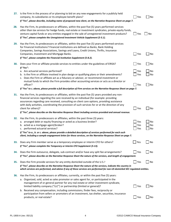| 27. | Is the Firm in the process of or planning to bid on any new engagements for a publicly held<br>company, its subsidiaries or its employee benefit plans?                                                                                                                                                                                                                                                              | Yes               | No             |
|-----|----------------------------------------------------------------------------------------------------------------------------------------------------------------------------------------------------------------------------------------------------------------------------------------------------------------------------------------------------------------------------------------------------------------------|-------------------|----------------|
|     | If "Yes", please describe, including name of proposed new client, on the Narrative Response Sheet on page 7.                                                                                                                                                                                                                                                                                                         |                   |                |
| 28. | Has the Firm, its predecessors or affiliates, within the past five (5) years performed services<br>other than tax services for hedge funds, real estate or investment syndicates, private equity funds,<br>venture capital funds or any entities engaged in the sale of unregistered investment products?<br>If "Yes", please complete the Unregistered Investment Vehicle Supplement (S-5.1).                       | Yes               | No             |
| 29. | Has the Firm, its predecessors or affiliates, within the past five (5) years performed services                                                                                                                                                                                                                                                                                                                      |                   |                |
|     | for Financial Institutions? Financial institutions are defined as Banks, Bank Holding<br>Companies, Savings Associations, Savings and Loans, Credit Unions, Thrifts, Insurance<br>Companies, Investment and Mortgage Banks.                                                                                                                                                                                          | Yes               | No             |
|     | If "Yes", please complete the Financial Institution Supplement (S-8.2).                                                                                                                                                                                                                                                                                                                                              |                   |                |
| 30. | Does your Firm or affiliate provide services to entities under the guidelines of ERISA?<br>If "Yes":                                                                                                                                                                                                                                                                                                                 | Yes               | No             |
|     | a. Are actuarial services performed?                                                                                                                                                                                                                                                                                                                                                                                 | Yes               | No             |
|     | b. Is the Firm or affiliate involved in plan design or qualifying plans or their amendments?<br>c. Does the Firm or affiliate act as a fiduciary or advisor, or recommend investment or                                                                                                                                                                                                                              | Yes               | No             |
|     | mutual funds to which the Firm provides other accounting services or acts as a director or<br>officer?                                                                                                                                                                                                                                                                                                               | Yes               | No             |
|     | If "Yes" to c. above, please provide a full description of Firm services on the Narrative Response Sheet on page 7.                                                                                                                                                                                                                                                                                                  |                   |                |
| 31. | Has the Firm, its predecessors or affiliates, within the past five (5) years provided any non-<br>financial services regarding the care received by an individual (for example: providing<br>assurances regarding care received, consulting on client care options, providing assistance<br>with daily activities, coordinating the provision of such services for or at the direction of any<br>client for others)? | Yes               | No             |
|     | If "Yes", please describe on the Narrative Response Sheet including services provided and annual revenue.                                                                                                                                                                                                                                                                                                            |                   |                |
| 32. | Has the Firm, its predecessors or affiliates, within the past three (3) years:<br>a. arranged debt or equity financing or acted as a business broker?<br>b. acted as a mortgage agent/broker?<br>c. performed actuarial services?                                                                                                                                                                                    | Yes<br>Yes<br>Yes | No<br>No<br>No |
|     | If "Yes" to a., b. or c. above, please provide a detailed description of services performed for each such<br>client, including a sample engagement letter for these services, on the Narrative Response Sheet on page 7.                                                                                                                                                                                             |                   |                |
| 33. | Does any Firm member serve as a temporary employee or interim CFO for others?                                                                                                                                                                                                                                                                                                                                        | Yes               | No             |
|     | If "Yes", please complete the Temporary or Interim CFO Supplement (S-13).                                                                                                                                                                                                                                                                                                                                            |                   |                |
| 34. | Does the Firm outsource, delegate, sub-contract and/or have any split fee arrangements?                                                                                                                                                                                                                                                                                                                              | Yes               | No             |
|     | If "Yes", please describe on the Narrative Response Sheet the nature of the services, and length of engagement.                                                                                                                                                                                                                                                                                                      |                   |                |
| 35. | Does the Firm provide services for any entity domiciled outside of the U.S.?                                                                                                                                                                                                                                                                                                                                         | Yes               | No             |
|     | If "Yes", please describe on the Narrative Response Sheet the nature of the services, indicate the country in<br>which services are performed, and advise if any of these services are performed for non-US domiciled SEC regulated entities.                                                                                                                                                                        |                   |                |
| 36. | Has the Firm, its predecessors or affiliates, currently, or within the past five (5) years:                                                                                                                                                                                                                                                                                                                          |                   |                |
|     | a. Organized, sold, acted as sales promoter or sales agent for, or participated in the<br>management of or general partner for any real estate or other investment syndicate,<br>limited liability company ("LLC") or partnership (limited or general)?                                                                                                                                                              | Yes               | No             |
|     | b. Received any compensation, including commissions, finder fees, reciprocity or                                                                                                                                                                                                                                                                                                                                     |                   |                |
|     | participation from sellers or promoters of an investment, tax shelter, securities, insurance<br>products, or real estate?                                                                                                                                                                                                                                                                                            | Yes               | No             |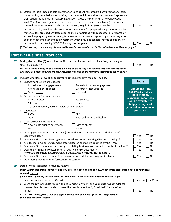|     | Internal Revenue Code §6111(b)(1) and Treasury Regulations §301.611-3(b))?                                                                                                                                                                       | materials for, provided any tax advice, counsel or opinions with respect to, any "reportable<br>transaction" as defined in Treasury Regulation §1.6011-4(b) or Internal Revenue Code<br>§6707A(c) (and any regulations thereunder), or acted as a material advisor (as defined in<br>d. Organized, sold, acted as sale promoter or sales agent for, prepared any promotional sales<br>materials for, provided any tax advice, counsel or opinions with respect to, or prepared or | $\Box$ Yes<br>No                                                                                           |
|-----|--------------------------------------------------------------------------------------------------------------------------------------------------------------------------------------------------------------------------------------------------|-----------------------------------------------------------------------------------------------------------------------------------------------------------------------------------------------------------------------------------------------------------------------------------------------------------------------------------------------------------------------------------------------------------------------------------------------------------------------------------|------------------------------------------------------------------------------------------------------------|
|     | tax deductions exceeding \$500,000 in any one tax year?                                                                                                                                                                                          | assisted in preparing any income, gift or estate tax returns incorporating or reporting a tax<br>shelter or other tax advantaged investment which provided taxable income exclusions or<br>If "Yes" to a., b., c. or d. above, please provide detailed explanation on the Narrative Response Sheet on page 7.                                                                                                                                                                     | $\blacksquare$ Yes<br>  No                                                                                 |
|     | <b>Part IV: Business Practices</b>                                                                                                                                                                                                               |                                                                                                                                                                                                                                                                                                                                                                                                                                                                                   |                                                                                                            |
| 37. | small claims court?                                                                                                                                                                                                                              | During the past five (5) years, has the Firm or its affiliates sued to collect fees, including in<br>If "Yes", provide a list of all outstanding amounts owed, date of suit, services rendered, current status,<br>whether still a client and if an engagement letter was used on the Narrative Response Sheet on page 7.                                                                                                                                                         | Yes<br>No                                                                                                  |
| 38. | Indicate what loss prevention tools your Firm requires Firm members to use.<br>a. Engagement letters are updated:<br>Annually for all engagements<br>As engagement changes<br>Other: $\_\_$                                                      | Annually for attest engagements<br>Evergreen (not updated)<br>Not used                                                                                                                                                                                                                                                                                                                                                                                                            | <b>Note</b><br><b>Should the Firm</b><br>become a CAMICO                                                   |
|     | b. Second person/partner review of:<br>Attest services<br>All services<br>No second person/partner review of any services                                                                                                                        | Tax services<br>Other:                                                                                                                                                                                                                                                                                                                                                                                                                                                            | policyholder,<br>significant resources<br>will be available to<br>help you augment<br>your risk management |
|     | c. Checklists:<br><b>AICPA</b><br>Other:                                                                                                                                                                                                         | <b>PPC</b><br>Not used or not applicable                                                                                                                                                                                                                                                                                                                                                                                                                                          | practices.                                                                                                 |
|     | d. Client screening procedures:<br>New clients prior to acceptance<br>Both                                                                                                                                                                       | <b>Existing clients</b><br>None                                                                                                                                                                                                                                                                                                                                                                                                                                                   |                                                                                                            |
|     | Liability clauses?<br>Does the Firm have a written internal quality control document?<br>i.<br>If "No", please provide an explanation on the Narrative Response Sheet on page 7.<br>k. Other loss prevention tools/procedures (describe): ______ | e. Do engagement letters contain ADR (Alternative Dispute Resolution) or Limitation of<br>f. Does your Firm have disengagement procedures for terminating client relationships?<br>g. Are declination/non-engagement letters used on all matters declined by the Firm?<br>h. Does your Firm have a written policy prohibiting business ventures with clients of the Firm?<br>Does your Firm have a formal fraud awareness and detection program in place?                         | Yes<br>No<br>Yes<br>No<br>Yes<br>No<br>Yes<br>No<br>Yes<br>No<br>$\blacksquare$ Yes<br>$\Box$ No           |
| 39. | Date of most recent peer or quality review: _____<br>review? mm/yy                                                                                                                                                                               | If not within last three (3) years, and you are subject to on-site review, what is the anticipated date of your next<br>If no review is planned, please provide an explanation on the Narrative Response Sheet on page 7.                                                                                                                                                                                                                                                         |                                                                                                            |
|     | a. Was the review on-site or off-site?<br>"other")?                                                                                                                                                                                              | b. Were the review results "pass with deficiencies" or "fail" (or if your state has not adopted<br>the new Peer Review standards, were the results "modified", "qualified", "adverse" or                                                                                                                                                                                                                                                                                          | On-site Off-site<br>  Yes<br>No                                                                            |
|     | committee acceptance letter.                                                                                                                                                                                                                     | If "Yes" to b. above, please provide a copy of the letter of comments, your Firm's response and                                                                                                                                                                                                                                                                                                                                                                                   |                                                                                                            |

c. Organized, sold, acted as sale promoter or sales agent for, prepared any promotional sales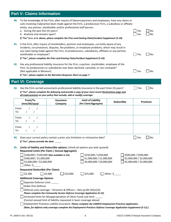## **Part V: Claims Information**

| 40. | To the knowledge of the Firm, after inquiry of Owners/partners and employees, have any claims or<br>suits involving malpractice been made against the Firm, a predecessor Firm, a subsidiary or affiliate<br>entity, any partner, stockholder and/or professional staff person:                                            |            |          |
|-----|----------------------------------------------------------------------------------------------------------------------------------------------------------------------------------------------------------------------------------------------------------------------------------------------------------------------------|------------|----------|
|     | a. During the past five (5) years?<br>b. Anytime and remains open?                                                                                                                                                                                                                                                         | Yes<br>Yes | No<br>Nο |
|     | If "Yes" to a. or b. above, please complete the Prior and Existing Claim/Incident Supplement (S-10).                                                                                                                                                                                                                       |            |          |
| 41. | Is the Firm, after inquiry of stockholders, partners and employees, currently aware of any<br>incidents, circumstances, disputes, fee problems, or employee problems, which may result in<br>any claim being made against the Firm, its predecessors, subsidiaries, affiliates or any partner,<br>stockholder or employee? | Yes        | No       |
|     | If "Yes", please complete the Prior and Existing Claim/Incident Supplement (S-10).                                                                                                                                                                                                                                         |            |          |
| 42. | Has any professional liability insurance for the Firm, a partner, stockholder, employee of the<br>Firm, its predecessors or subsidiaries ever been declined, canceled, or non-renewed?<br>(Not applicable in Missouri)<br>If "Yes", please explain on the Narrative Response Sheet on page 7.                              | Yes        | No       |

#### **Part VI: Coverage**

**43.** Has the Firm carried accountants professional liability insurance in the past three (3) years? Yes No *If "Yes", please complete the following and provide a copy of your most recent Declarations page and all endorsements on your policy that exclude, add or modify coverage:*

| From/To<br>(mm/dd/yyyy)                                                                                         | <b>Insurance</b><br>Company                                                                     | Limit of Liability<br>(Per Claim/Aggregate)                                                                                                                        | <b>Deductible</b> | Premium                                                                         |
|-----------------------------------------------------------------------------------------------------------------|-------------------------------------------------------------------------------------------------|--------------------------------------------------------------------------------------------------------------------------------------------------------------------|-------------------|---------------------------------------------------------------------------------|
| From:<br>To:                                                                                                    |                                                                                                 |                                                                                                                                                                    |                   |                                                                                 |
| From:<br>To:                                                                                                    |                                                                                                 |                                                                                                                                                                    |                   |                                                                                 |
| From:<br>To:                                                                                                    |                                                                                                 |                                                                                                                                                                    |                   |                                                                                 |
| If "Yes", please provide the date:<br>45.<br>\$500,000 / \$1,000,000<br>\$3,000,000 / \$3,000,000<br>Other: $$$ | Requested Limits (Per Claim / Annual Aggregate):<br>\$100,000 / \$100,000 (Not available in CA) | Limits of liability and Deductible options: (check all options you wish quoted)<br>\$250,000 / \$250,000<br>\$1,000,000 / \$1,000,000<br>\$4,000,000 / \$4,000,000 |                   | \$500,000 / \$500,000<br>\$2,000,000 / \$2,000,000<br>\$5,000,000 / \$5,000,000 |
| <b>Requested Deductible (Per Claim):</b>                                                                        |                                                                                                 |                                                                                                                                                                    |                   |                                                                                 |
| \$2,500<br><b>Additional Coverage Options</b>                                                                   | $\Box$ \$5,000<br>$\frac{1}{2}$ \$10,000                                                        | $\Box$ \$25,000                                                                                                                                                    | Other: $\zeta$    |                                                                                 |
| Separate Defense Limit: ______<br><b>Dollar One Defense</b>                                                     | Defense-only coverage - Directors & Officers - Non-profit 501(c)(3)                             |                                                                                                                                                                    |                   |                                                                                 |

*Please complete the Community Service Defense Coverage Application (S-12).*

□ Increased limits for Misappropriation of Client Funds sub-limit:

(Cannot exceed limit of liability requested in basic coverage above)

Employment Practices Liability Insurance: *Please complete the CAMICO Employment Practices Application.*

*(Note, for defense only coverage complete the Employment Practices Defense Coverage Application Supplement (S-11).)*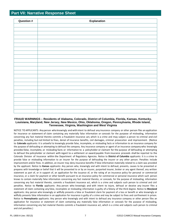#### **Part VII: Narrative Response Sheet**

| Question # | <b>Explanation</b> |
|------------|--------------------|
|            |                    |
|            |                    |
|            |                    |
|            |                    |
|            |                    |
|            |                    |
|            |                    |
|            |                    |
|            |                    |
|            |                    |
|            |                    |
|            |                    |
|            |                    |
|            |                    |
|            |                    |
|            |                    |
|            |                    |
|            |                    |
|            |                    |
|            |                    |
|            |                    |

#### **FRAUD WARNINGS –Residents of Alabama, Colorado, District of Columbia, Florida, Kansas, Kentucky, Louisiana, Maryland, New Jersey, New Mexico, Ohio, Oklahoma, Oregon, Pennsylvania, Rhode Island, Tennessee, Virginia, Washington and West Virginia**

NOTICE TO APPLICANTS: Any person who knowingly and with intent to defraud any insurance company or other person files an application for insurance or statement of claim containing any materially false information or conceals for the purpose of misleading, information concerning any fact material thereto commits a fraudulent insurance act,which is a crime and may subject a person to criminal and civil penalties, including but not limited to fines, denial of insurance benefits, civil damages, criminal prosecution and imprisonment. (Notice to **Colorado** applicants: It is unlawful to knowingly provide false, incomplete, or misleading facts or information to an insurance company for the purpose of defrauding or attempting to defraud the company. Any insurance company or agent of an insurance company who knowingly providesfalse, incomplete, or misleading facts or information to a policyholder or claimant for the purpose of defrauding or attempting to defraud the policyholder or claimant with regard to a settlement or award payable from insurance proceeds shall be reported to the Colorado Division of Insurance within the Department of Regulatory Agencies. Notice to **District of Columbia** applicants: It is a crime to provide false or misleading information to an insurer for the purpose of defrauding the insurer or any other person. Penalties include imprisonment and/or fines. In addition, an insurer may deny insurance benefits if false information materially related to a claim was provided by the applicant. Notice to **Kansas** applicants: Any person who, knowingly and with intent to defraud, presents, causes to be presented or prepares with knowledge or belief that it will be presented to or by an insurer, purported insurer, broker or any agent thereof, any written statement as part of, or in support of, an application for the issuance of, or the rating of an insurance policy for personal or commercial insurance, or a claim for payment or other benefit pursuant to an insurance policy for commercial or personal insurance which such person knows to contain materially false information concerning any fact material thereto, or conceals, for the purpose of misleading, information concerning any fact material thereto, commits a fraudulent insurance act, which is a crime and subjects such person to criminal and civil penalties. Notice to **Florida** applicants: Any person who knowingly and with intent to injure, defraud ordeceive any insurer files a statement of claim containing any false, incomplete ormisleading information isguilty of a felony of the third degree. Notice to **Maryland** applicants: Any person who knowingly or willfully presents a false or fraudulent claim for payment of a loss or benefit or who knowingly or willfully presents false information in an application for insurance is guilty of a crime and may be subject to fines and confinement in prison. Notice to **Pennsylvania** applicants: Any person who knowingly and with intent to defraud any insurance company or other person files an application for insurance or statement of claim containing any materially false information or conceals for the purpose of misleading, information concerning any fact material thereto commits a fraudulent insurance act, which is a crime and subjects such person to criminal and civil penalties.)